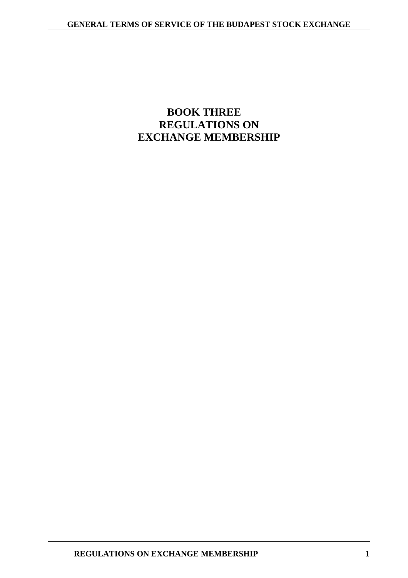# **BOOK THREE REGULATIONS ON EXCHANGE MEMBERSHIP**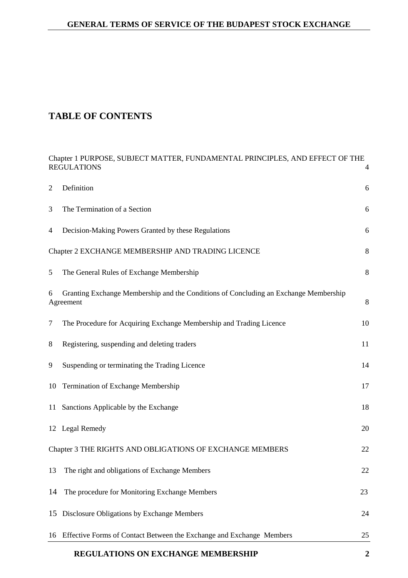# **TABLE OF CONTENTS**

|                                                                | REGULATIONS ON EXCHANGE MEMBERSHIP                                                                 | 2              |  |  |
|----------------------------------------------------------------|----------------------------------------------------------------------------------------------------|----------------|--|--|
| 16                                                             | Effective Forms of Contact Between the Exchange and Exchange Members                               | 25             |  |  |
| 15                                                             | Disclosure Obligations by Exchange Members                                                         | 24             |  |  |
| 14                                                             | The procedure for Monitoring Exchange Members                                                      | 23             |  |  |
| 13                                                             | The right and obligations of Exchange Members                                                      | 22             |  |  |
| Chapter 3 THE RIGHTS AND OBLIGATIONS OF EXCHANGE MEMBERS<br>22 |                                                                                                    |                |  |  |
|                                                                | 12 Legal Remedy                                                                                    | 20             |  |  |
| 11                                                             | Sanctions Applicable by the Exchange                                                               | 18             |  |  |
| 10                                                             | Termination of Exchange Membership                                                                 | 17             |  |  |
| 9                                                              | Suspending or terminating the Trading Licence                                                      | 14             |  |  |
| 8                                                              | Registering, suspending and deleting traders                                                       | 11             |  |  |
| $\tau$                                                         | The Procedure for Acquiring Exchange Membership and Trading Licence                                | 10             |  |  |
| 6                                                              | Granting Exchange Membership and the Conditions of Concluding an Exchange Membership<br>Agreement  | $\,8\,$        |  |  |
| 5                                                              | The General Rules of Exchange Membership                                                           | $8\phantom{1}$ |  |  |
|                                                                | Chapter 2 EXCHANGE MEMBERSHIP AND TRADING LICENCE                                                  | $\,8\,$        |  |  |
| 4                                                              | Decision-Making Powers Granted by these Regulations                                                | 6              |  |  |
| 3                                                              | The Termination of a Section                                                                       | 6              |  |  |
| $\overline{2}$                                                 | Definition                                                                                         | 6              |  |  |
|                                                                | Chapter 1 PURPOSE, SUBJECT MATTER, FUNDAMENTAL PRINCIPLES, AND EFFECT OF THE<br><b>REGULATIONS</b> | $\overline{4}$ |  |  |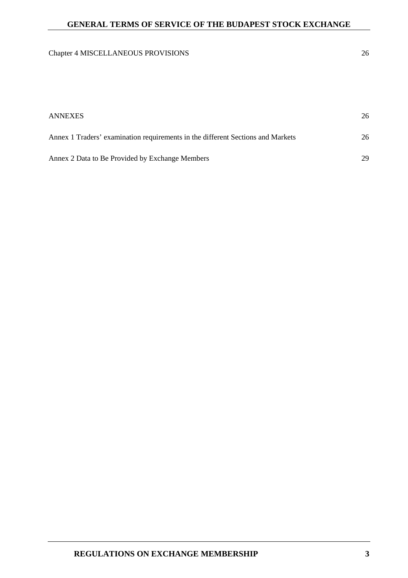# Chapter 4 MISCELLANEOUS PROVISIONS 26

| <b>ANNEXES</b>                                                                  | 26 |
|---------------------------------------------------------------------------------|----|
| Annex 1 Traders' examination requirements in the different Sections and Markets | 26 |
| Annex 2 Data to Be Provided by Exchange Members                                 | 29 |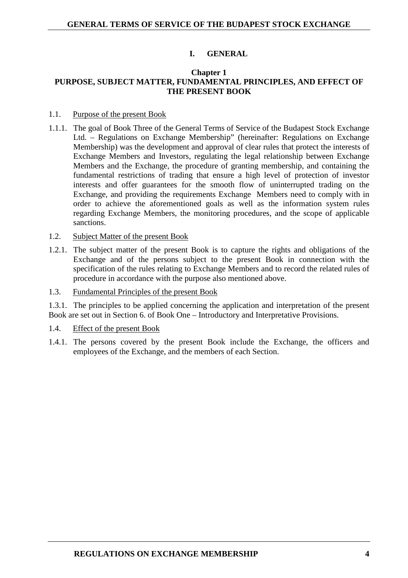## **I. GENERAL**

#### **Chapter 1 PURPOSE, SUBJECT MATTER, FUNDAMENTAL PRINCIPLES, AND EFFECT OF THE PRESENT BOOK**

- 1.1. Purpose of the present Book
- 1.1.1. The goal of Book Three of the General Terms of Service of the Budapest Stock Exchange Ltd. – Regulations on Exchange Membership" (hereinafter: Regulations on Exchange Membership) was the development and approval of clear rules that protect the interests of Exchange Members and Investors, regulating the legal relationship between Exchange Members and the Exchange, the procedure of granting membership, and containing the fundamental restrictions of trading that ensure a high level of protection of investor interests and offer guarantees for the smooth flow of uninterrupted trading on the Exchange, and providing the requirements Exchange Members need to comply with in order to achieve the aforementioned goals as well as the information system rules regarding Exchange Members, the monitoring procedures, and the scope of applicable sanctions.
- 1.2. Subject Matter of the present Book
- 1.2.1. The subject matter of the present Book is to capture the rights and obligations of the Exchange and of the persons subject to the present Book in connection with the specification of the rules relating to Exchange Members and to record the related rules of procedure in accordance with the purpose also mentioned above.
- 1.3. Fundamental Principles of the present Book

1.3.1. The principles to be applied concerning the application and interpretation of the present Book are set out in Section 6. of Book One – Introductory and Interpretative Provisions.

- 1.4. Effect of the present Book
- 1.4.1. The persons covered by the present Book include the Exchange, the officers and employees of the Exchange, and the members of each Section.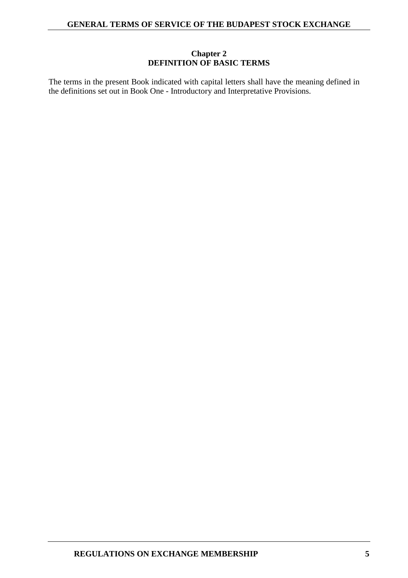## **Chapter 2 DEFINITION OF BASIC TERMS**

The terms in the present Book indicated with capital letters shall have the meaning defined in the definitions set out in Book One - Introductory and Interpretative Provisions.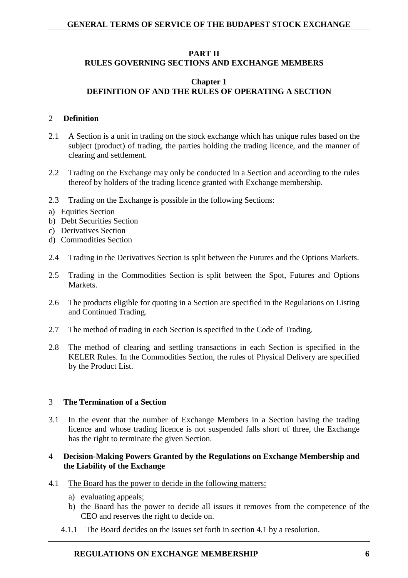### **PART II**

## **RULES GOVERNING SECTIONS AND EXCHANGE MEMBERS**

## **Chapter 1 DEFINITION OF AND THE RULES OF OPERATING A SECTION**

#### 2 **Definition**

- 2.1 A Section is a unit in trading on the stock exchange which has unique rules based on the subject (product) of trading, the parties holding the trading licence, and the manner of clearing and settlement.
- 2.2 Trading on the Exchange may only be conducted in a Section and according to the rules thereof by holders of the trading licence granted with Exchange membership.
- 2.3 Trading on the Exchange is possible in the following Sections:
- a) Equities Section
- b) Debt Securities Section
- c) Derivatives Section
- d) Commodities Section
- 2.4 Trading in the Derivatives Section is split between the Futures and the Options Markets.
- 2.5 Trading in the Commodities Section is split between the Spot, Futures and Options Markets.
- 2.6 The products eligible for quoting in a Section are specified in the Regulations on Listing and Continued Trading.
- 2.7 The method of trading in each Section is specified in the Code of Trading.
- 2.8 The method of clearing and settling transactions in each Section is specified in the KELER Rules. In the Commodities Section, the rules of Physical Delivery are specified by the Product List.

#### 3 **The Termination of a Section**

3.1 In the event that the number of Exchange Members in a Section having the trading licence and whose trading licence is not suspended falls short of three, the Exchange has the right to terminate the given Section.

#### 4 **Decision-Making Powers Granted by the Regulations on Exchange Membership and the Liability of the Exchange**

- 4.1 The Board has the power to decide in the following matters:
	- a) evaluating appeals;
	- b) the Board has the power to decide all issues it removes from the competence of the CEO and reserves the right to decide on.
	- 4.1.1 The Board decides on the issues set forth in section 4.1 by a resolution.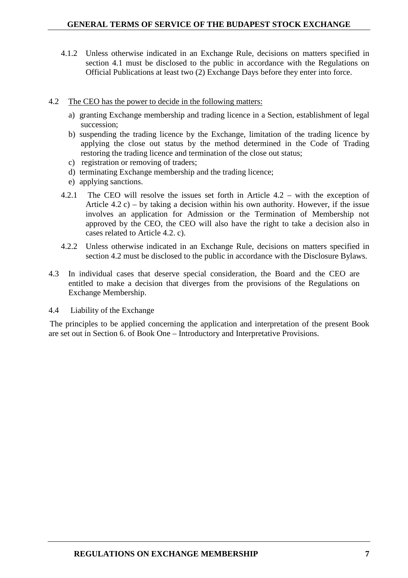- 4.1.2 Unless otherwise indicated in an Exchange Rule, decisions on matters specified in section 4.1 must be disclosed to the public in accordance with the Regulations on Official Publications at least two (2) Exchange Days before they enter into force.
- 4.2 The CEO has the power to decide in the following matters:
	- a) granting Exchange membership and trading licence in a Section, establishment of legal succession;
	- b) suspending the trading licence by the Exchange, limitation of the trading licence by applying the close out status by the method determined in the Code of Trading restoring the trading licence and termination of the close out status;
	- c) registration or removing of traders;
	- d) terminating Exchange membership and the trading licence;
	- e) applying sanctions.
	- 4.2.1 The CEO will resolve the issues set forth in Article 4.2 with the exception of Article 4.2 c) – by taking a decision within his own authority. However, if the issue involves an application for Admission or the Termination of Membership not approved by the CEO, the CEO will also have the right to take a decision also in cases related to Article 4.2. c).
	- 4.2.2 Unless otherwise indicated in an Exchange Rule, decisions on matters specified in section 4.2 must be disclosed to the public in accordance with the Disclosure Bylaws.
- 4.3 In individual cases that deserve special consideration, the Board and the CEO are entitled to make a decision that diverges from the provisions of the Regulations on Exchange Membership.
- 4.4 Liability of the Exchange

The principles to be applied concerning the application and interpretation of the present Book are set out in Section 6. of Book One – Introductory and Interpretative Provisions.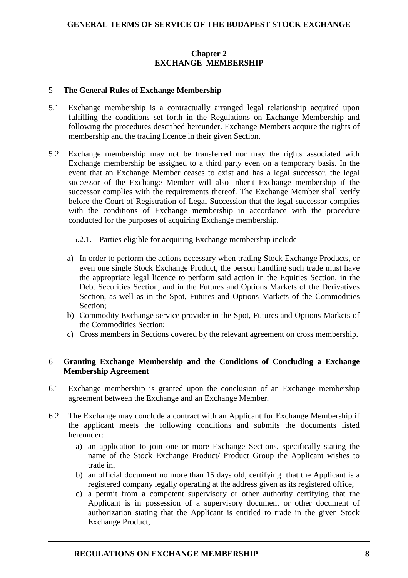# **Chapter 2 EXCHANGE MEMBERSHIP**

## 5 **The General Rules of Exchange Membership**

- 5.1 Exchange membership is a contractually arranged legal relationship acquired upon fulfilling the conditions set forth in the Regulations on Exchange Membership and following the procedures described hereunder. Exchange Members acquire the rights of membership and the trading licence in their given Section.
- 5.2 Exchange membership may not be transferred nor may the rights associated with Exchange membership be assigned to a third party even on a temporary basis. In the event that an Exchange Member ceases to exist and has a legal successor, the legal successor of the Exchange Member will also inherit Exchange membership if the successor complies with the requirements thereof. The Exchange Member shall verify before the Court of Registration of Legal Succession that the legal successor complies with the conditions of Exchange membership in accordance with the procedure conducted for the purposes of acquiring Exchange membership.

### 5.2.1. Parties eligible for acquiring Exchange membership include

- a) In order to perform the actions necessary when trading Stock Exchange Products, or even one single Stock Exchange Product, the person handling such trade must have the appropriate legal licence to perform said action in the Equities Section, in the Debt Securities Section, and in the Futures and Options Markets of the Derivatives Section, as well as in the Spot, Futures and Options Markets of the Commodities Section;
- b) Commodity Exchange service provider in the Spot, Futures and Options Markets of the Commodities Section;
- c) Cross members in Sections covered by the relevant agreement on cross membership.

## 6 **Granting Exchange Membership and the Conditions of Concluding a Exchange Membership Agreement**

- 6.1 Exchange membership is granted upon the conclusion of an Exchange membership agreement between the Exchange and an Exchange Member.
- 6.2 The Exchange may conclude a contract with an Applicant for Exchange Membership if the applicant meets the following conditions and submits the documents listed hereunder:
	- a) an application to join one or more Exchange Sections, specifically stating the name of the Stock Exchange Product/ Product Group the Applicant wishes to trade in,
	- b) an official document no more than 15 days old, certifying that the Applicant is a registered company legally operating at the address given as its registered office,
	- c) a permit from a competent supervisory or other authority certifying that the Applicant is in possession of a supervisory document or other document of authorization stating that the Applicant is entitled to trade in the given Stock Exchange Product,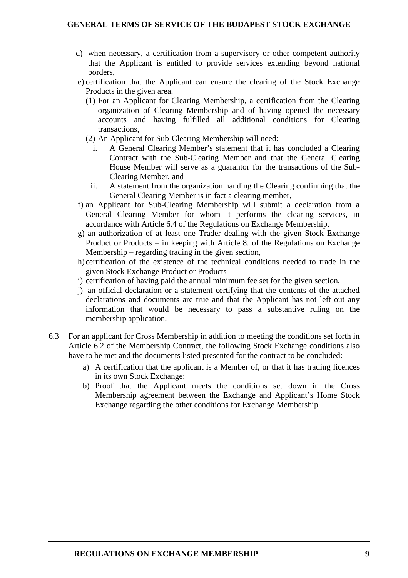- d) when necessary, a certification from a supervisory or other competent authority that the Applicant is entitled to provide services extending beyond national borders,
- e) certification that the Applicant can ensure the clearing of the Stock Exchange Products in the given area.
	- (1) For an Applicant for Clearing Membership, a certification from the Clearing organization of Clearing Membership and of having opened the necessary accounts and having fulfilled all additional conditions for Clearing transactions,
	- (2) An Applicant for Sub-Clearing Membership will need:
		- i. A General Clearing Member's statement that it has concluded a Clearing Contract with the Sub-Clearing Member and that the General Clearing House Member will serve as a guarantor for the transactions of the Sub-Clearing Member, and
		- ii. A statement from the organization handing the Clearing confirming that the General Clearing Member is in fact a clearing member,
- f) an Applicant for Sub-Clearing Membership will submit a declaration from a General Clearing Member for whom it performs the clearing services, in accordance with Article 6.4 of the Regulations on Exchange Membership,
- g) an authorization of at least one Trader dealing with the given Stock Exchange Product or Products – in keeping with Article 8. of the Regulations on Exchange Membership – regarding trading in the given section,
- h) certification of the existence of the technical conditions needed to trade in the given Stock Exchange Product or Products
- i) certification of having paid the annual minimum fee set for the given section,
- j) an official declaration or a statement certifying that the contents of the attached declarations and documents are true and that the Applicant has not left out any information that would be necessary to pass a substantive ruling on the membership application.
- 6.3 For an applicant for Cross Membership in addition to meeting the conditions set forth in Article 6.2 of the Membership Contract, the following Stock Exchange conditions also have to be met and the documents listed presented for the contract to be concluded:
	- a) A certification that the applicant is a Member of, or that it has trading licences in its own Stock Exchange;
	- b) Proof that the Applicant meets the conditions set down in the Cross Membership agreement between the Exchange and Applicant's Home Stock Exchange regarding the other conditions for Exchange Membership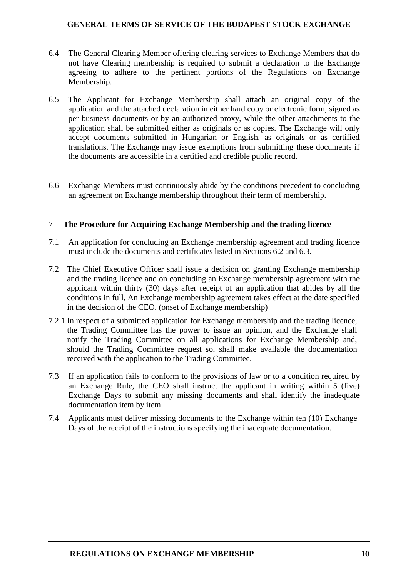- 6.4 The General Clearing Member offering clearing services to Exchange Members that do not have Clearing membership is required to submit a declaration to the Exchange agreeing to adhere to the pertinent portions of the Regulations on Exchange Membership.
- 6.5 The Applicant for Exchange Membership shall attach an original copy of the application and the attached declaration in either hard copy or electronic form, signed as per business documents or by an authorized proxy, while the other attachments to the application shall be submitted either as originals or as copies. The Exchange will only accept documents submitted in Hungarian or English, as originals or as certified translations. The Exchange may issue exemptions from submitting these documents if the documents are accessible in a certified and credible public record.
- 6.6 Exchange Members must continuously abide by the conditions precedent to concluding an agreement on Exchange membership throughout their term of membership.

## 7 **The Procedure for Acquiring Exchange Membership and the trading licence**

- 7.1 An application for concluding an Exchange membership agreement and trading licence must include the documents and certificates listed in Sections 6.2 and 6.3.
- 7.2 The Chief Executive Officer shall issue a decision on granting Exchange membership and the trading licence and on concluding an Exchange membership agreement with the applicant within thirty (30) days after receipt of an application that abides by all the conditions in full, An Exchange membership agreement takes effect at the date specified in the decision of the CEO. (onset of Exchange membership)
- 7.2.1 In respect of a submitted application for Exchange membership and the trading licence, the Trading Committee has the power to issue an opinion, and the Exchange shall notify the Trading Committee on all applications for Exchange Membership and, should the Trading Committee request so, shall make available the documentation received with the application to the Trading Committee.
- 7.3 If an application fails to conform to the provisions of law or to a condition required by an Exchange Rule, the CEO shall instruct the applicant in writing within 5 (five) Exchange Days to submit any missing documents and shall identify the inadequate documentation item by item.
- 7.4 Applicants must deliver missing documents to the Exchange within ten (10) Exchange Days of the receipt of the instructions specifying the inadequate documentation.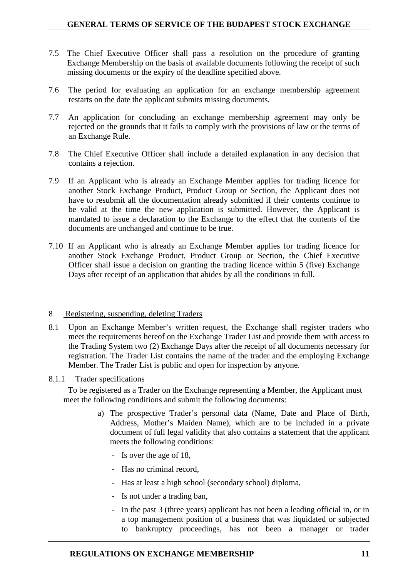- 7.5 The Chief Executive Officer shall pass a resolution on the procedure of granting Exchange Membership on the basis of available documents following the receipt of such missing documents or the expiry of the deadline specified above.
- 7.6 The period for evaluating an application for an exchange membership agreement restarts on the date the applicant submits missing documents.
- 7.7 An application for concluding an exchange membership agreement may only be rejected on the grounds that it fails to comply with the provisions of law or the terms of an Exchange Rule.
- 7.8 The Chief Executive Officer shall include a detailed explanation in any decision that contains a rejection.
- 7.9 If an Applicant who is already an Exchange Member applies for trading licence for another Stock Exchange Product, Product Group or Section, the Applicant does not have to resubmit all the documentation already submitted if their contents continue to be valid at the time the new application is submitted. However, the Applicant is mandated to issue a declaration to the Exchange to the effect that the contents of the documents are unchanged and continue to be true.
- 7.10 If an Applicant who is already an Exchange Member applies for trading licence for another Stock Exchange Product, Product Group or Section, the Chief Executive Officer shall issue a decision on granting the trading licence within 5 (five) Exchange Days after receipt of an application that abides by all the conditions in full.

#### 8 Registering, suspending, deleting Traders

- 8.1 Upon an Exchange Member's written request, the Exchange shall register traders who meet the requirements hereof on the Exchange Trader List and provide them with access to the Trading System two (2) Exchange Days after the receipt of all documents necessary for registration. The Trader List contains the name of the trader and the employing Exchange Member. The Trader List is public and open for inspection by anyone.
- 8.1.1 Trader specifications

To be registered as a Trader on the Exchange representing a Member, the Applicant must meet the following conditions and submit the following documents:

- a) The prospective Trader's personal data (Name, Date and Place of Birth, Address, Mother's Maiden Name), which are to be included in a private document of full legal validity that also contains a statement that the applicant meets the following conditions:
	- Is over the age of 18,
	- Has no criminal record,
	- Has at least a high school (secondary school) diploma,
	- Is not under a trading ban,
	- In the past 3 (three years) applicant has not been a leading official in, or in a top management position of a business that was liquidated or subjected to bankruptcy proceedings, has not been a manager or trader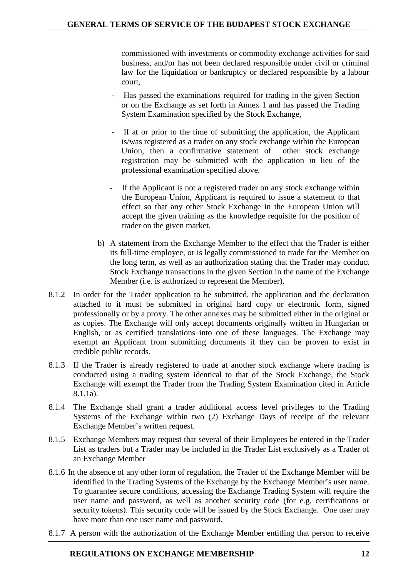commissioned with investments or commodity exchange activities for said business, and/or has not been declared responsible under civil or criminal law for the liquidation or bankruptcy or declared responsible by a labour court,

- Has passed the examinations required for trading in the given Section or on the Exchange as set forth in Annex 1 and has passed the Trading System Examination specified by the Stock Exchange,
- If at or prior to the time of submitting the application, the Applicant is/was registered as a trader on any stock exchange within the European Union, then a confirmative statement of other stock exchange registration may be submitted with the application in lieu of the professional examination specified above.
- If the Applicant is not a registered trader on any stock exchange within the European Union, Applicant is required to issue a statement to that effect so that any other Stock Exchange in the European Union will accept the given training as the knowledge requisite for the position of trader on the given market.
- b) A statement from the Exchange Member to the effect that the Trader is either its full-time employee, or is legally commissioned to trade for the Member on the long term, as well as an authorization stating that the Trader may conduct Stock Exchange transactions in the given Section in the name of the Exchange Member (i.e. is authorized to represent the Member).
- 8.1.2 In order for the Trader application to be submitted, the application and the declaration attached to it must be submitted in original hard copy or electronic form, signed professionally or by a proxy. The other annexes may be submitted either in the original or as copies. The Exchange will only accept documents originally written in Hungarian or English, or as certified translations into one of these languages. The Exchange may exempt an Applicant from submitting documents if they can be proven to exist in credible public records.
- 8.1.3 If the Trader is already registered to trade at another stock exchange where trading is conducted using a trading system identical to that of the Stock Exchange, the Stock Exchange will exempt the Trader from the Trading System Examination cited in Article 8.1.1a).
- 8.1.4 The Exchange shall grant a trader additional access level privileges to the Trading Systems of the Exchange within two (2) Exchange Days of receipt of the relevant Exchange Member's written request.
- 8.1.5 Exchange Members may request that several of their Employees be entered in the Trader List as traders but a Trader may be included in the Trader List exclusively as a Trader of an Exchange Member
- 8.1.6 In the absence of any other form of regulation, the Trader of the Exchange Member will be identified in the Trading Systems of the Exchange by the Exchange Member's user name. To guarantee secure conditions, accessing the Exchange Trading System will require the user name and password, as well as another security code (for e.g. certifications or security tokens). This security code will be issued by the Stock Exchange. One user may have more than one user name and password.
- 8.1.7 A person with the authorization of the Exchange Member entitling that person to receive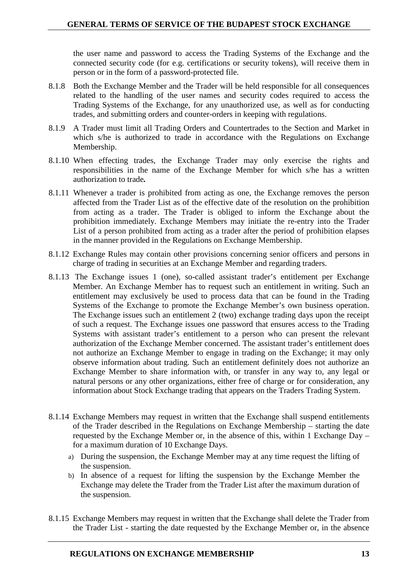the user name and password to access the Trading Systems of the Exchange and the connected security code (for e.g. certifications or security tokens), will receive them in person or in the form of a password-protected file.

- 8.1.8 Both the Exchange Member and the Trader will be held responsible for all consequences related to the handling of the user names and security codes required to access the Trading Systems of the Exchange, for any unauthorized use, as well as for conducting trades, and submitting orders and counter-orders in keeping with regulations.
- 8.1.9 A Trader must limit all Trading Orders and Countertrades to the Section and Market in which s/he is authorized to trade in accordance with the Regulations on Exchange Membership.
- 8.1.10 When effecting trades, the Exchange Trader may only exercise the rights and responsibilities in the name of the Exchange Member for which s/he has a written authorization to trade*.*
- 8.1.11 Whenever a trader is prohibited from acting as one, the Exchange removes the person affected from the Trader List as of the effective date of the resolution on the prohibition from acting as a trader. The Trader is obliged to inform the Exchange about the prohibition immediately. Exchange Members may initiate the re-entry into the Trader List of a person prohibited from acting as a trader after the period of prohibition elapses in the manner provided in the Regulations on Exchange Membership.
- 8.1.12 Exchange Rules may contain other provisions concerning senior officers and persons in charge of trading in securities at an Exchange Member and regarding traders.
- 8.1.13 The Exchange issues 1 (one), so-called assistant trader's entitlement per Exchange Member. An Exchange Member has to request such an entitlement in writing. Such an entitlement may exclusively be used to process data that can be found in the Trading Systems of the Exchange to promote the Exchange Member's own business operation. The Exchange issues such an entitlement 2 (two) exchange trading days upon the receipt of such a request. The Exchange issues one password that ensures access to the Trading Systems with assistant trader's entitlement to a person who can present the relevant authorization of the Exchange Member concerned. The assistant trader's entitlement does not authorize an Exchange Member to engage in trading on the Exchange; it may only observe information about trading. Such an entitlement definitely does not authorize an Exchange Member to share information with, or transfer in any way to, any legal or natural persons or any other organizations, either free of charge or for consideration, any information about Stock Exchange trading that appears on the Traders Trading System.
- 8.1.14 Exchange Members may request in written that the Exchange shall suspend entitlements of the Trader described in the Regulations on Exchange Membership – starting the date requested by the Exchange Member or, in the absence of this, within 1 Exchange Day – for a maximum duration of 10 Exchange Days.
	- a) During the suspension, the Exchange Member may at any time request the lifting of the suspension.
	- b) In absence of a request for lifting the suspension by the Exchange Member the Exchange may delete the Trader from the Trader List after the maximum duration of the suspension.
- 8.1.15 Exchange Members may request in written that the Exchange shall delete the Trader from the Trader List - starting the date requested by the Exchange Member or, in the absence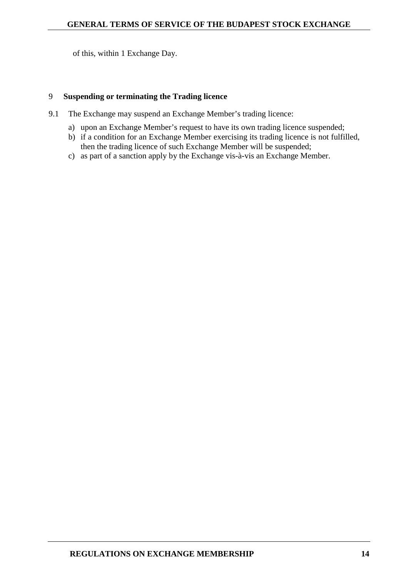of this, within 1 Exchange Day.

## 9 **Suspending or terminating the Trading licence**

- 9.1 The Exchange may suspend an Exchange Member's trading licence:
	- a) upon an Exchange Member's request to have its own trading licence suspended;
	- b) if a condition for an Exchange Member exercising its trading licence is not fulfilled, then the trading licence of such Exchange Member will be suspended;
	- c) as part of a sanction apply by the Exchange vis-à-vis an Exchange Member.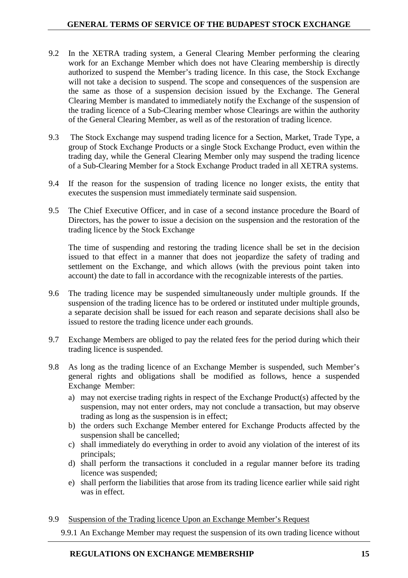- 9.2 In the XETRA trading system, a General Clearing Member performing the clearing work for an Exchange Member which does not have Clearing membership is directly authorized to suspend the Member's trading licence. In this case, the Stock Exchange will not take a decision to suspend. The scope and consequences of the suspension are the same as those of a suspension decision issued by the Exchange. The General Clearing Member is mandated to immediately notify the Exchange of the suspension of the trading licence of a Sub-Clearing member whose Clearings are within the authority of the General Clearing Member, as well as of the restoration of trading licence.
- 9.3 The Stock Exchange may suspend trading licence for a Section, Market, Trade Type, a group of Stock Exchange Products or a single Stock Exchange Product, even within the trading day, while the General Clearing Member only may suspend the trading licence of a Sub-Clearing Member for a Stock Exchange Product traded in all XETRA systems.
- 9.4 If the reason for the suspension of trading licence no longer exists, the entity that executes the suspension must immediately terminate said suspension.
- 9.5 The Chief Executive Officer, and in case of a second instance procedure the Board of Directors, has the power to issue a decision on the suspension and the restoration of the trading licence by the Stock Exchange

The time of suspending and restoring the trading licence shall be set in the decision issued to that effect in a manner that does not jeopardize the safety of trading and settlement on the Exchange, and which allows (with the previous point taken into account) the date to fall in accordance with the recognizable interests of the parties.

- 9.6 The trading licence may be suspended simultaneously under multiple grounds. If the suspension of the trading licence has to be ordered or instituted under multiple grounds, a separate decision shall be issued for each reason and separate decisions shall also be issued to restore the trading licence under each grounds.
- 9.7 Exchange Members are obliged to pay the related fees for the period during which their trading licence is suspended.
- 9.8 As long as the trading licence of an Exchange Member is suspended, such Member's general rights and obligations shall be modified as follows, hence a suspended Exchange Member:
	- a) may not exercise trading rights in respect of the Exchange Product(s) affected by the suspension, may not enter orders, may not conclude a transaction, but may observe trading as long as the suspension is in effect;
	- b) the orders such Exchange Member entered for Exchange Products affected by the suspension shall be cancelled;
	- c) shall immediately do everything in order to avoid any violation of the interest of its principals;
	- d) shall perform the transactions it concluded in a regular manner before its trading licence was suspended;
	- e) shall perform the liabilities that arose from its trading licence earlier while said right was in effect.
- 9.9 Suspension of the Trading licence Upon an Exchange Member's Request
	- 9.9.1 An Exchange Member may request the suspension of its own trading licence without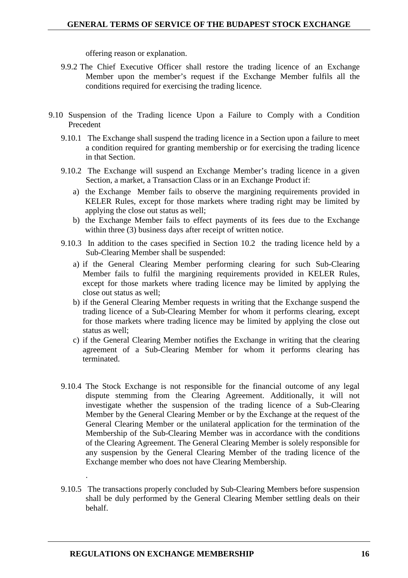offering reason or explanation.

- 9.9.2 The Chief Executive Officer shall restore the trading licence of an Exchange Member upon the member's request if the Exchange Member fulfils all the conditions required for exercising the trading licence.
- 9.10 Suspension of the Trading licence Upon a Failure to Comply with a Condition Precedent
	- 9.10.1 The Exchange shall suspend the trading licence in a Section upon a failure to meet a condition required for granting membership or for exercising the trading licence in that Section.
	- 9.10.2 The Exchange will suspend an Exchange Member's trading licence in a given Section, a market, a Transaction Class or in an Exchange Product if:
		- a) the Exchange Member fails to observe the margining requirements provided in KELER Rules, except for those markets where trading right may be limited by applying the close out status as well;
		- b) the Exchange Member fails to effect payments of its fees due to the Exchange within three (3) business days after receipt of written notice.
	- 9.10.3 In addition to the cases specified in Section 10.2 the trading licence held by a Sub-Clearing Member shall be suspended:
		- a) if the General Clearing Member performing clearing for such Sub-Clearing Member fails to fulfil the margining requirements provided in KELER Rules, except for those markets where trading licence may be limited by applying the close out status as well;
		- b) if the General Clearing Member requests in writing that the Exchange suspend the trading licence of a Sub-Clearing Member for whom it performs clearing, except for those markets where trading licence may be limited by applying the close out status as well;
		- c) if the General Clearing Member notifies the Exchange in writing that the clearing agreement of a Sub-Clearing Member for whom it performs clearing has terminated.
	- 9.10.4 The Stock Exchange is not responsible for the financial outcome of any legal dispute stemming from the Clearing Agreement. Additionally, it will not investigate whether the suspension of the trading licence of a Sub-Clearing Member by the General Clearing Member or by the Exchange at the request of the General Clearing Member or the unilateral application for the termination of the Membership of the Sub-Clearing Member was in accordance with the conditions of the Clearing Agreement. The General Clearing Member is solely responsible for any suspension by the General Clearing Member of the trading licence of the Exchange member who does not have Clearing Membership.
	- 9.10.5 The transactions properly concluded by Sub-Clearing Members before suspension shall be duly performed by the General Clearing Member settling deals on their behalf.

.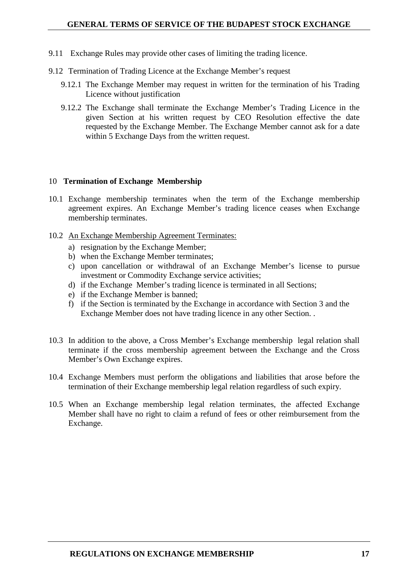- 9.11 Exchange Rules may provide other cases of limiting the trading licence.
- 9.12 Termination of Trading Licence at the Exchange Member's request
	- 9.12.1 The Exchange Member may request in written for the termination of his Trading Licence without justification
	- 9.12.2 The Exchange shall terminate the Exchange Member's Trading Licence in the given Section at his written request by CEO Resolution effective the date requested by the Exchange Member. The Exchange Member cannot ask for a date within 5 Exchange Days from the written request.

### 10 **Termination of Exchange Membership**

- 10.1 Exchange membership terminates when the term of the Exchange membership agreement expires. An Exchange Member's trading licence ceases when Exchange membership terminates.
- 10.2 An Exchange Membership Agreement Terminates:
	- a) resignation by the Exchange Member;
	- b) when the Exchange Member terminates;
	- c) upon cancellation or withdrawal of an Exchange Member's license to pursue investment or Commodity Exchange service activities;
	- d) if the Exchange Member's trading licence is terminated in all Sections;
	- e) if the Exchange Member is banned;
	- f) if the Section is terminated by the Exchange in accordance with Section 3 and the Exchange Member does not have trading licence in any other Section. .
- 10.3 In addition to the above, a Cross Member's Exchange membership legal relation shall terminate if the cross membership agreement between the Exchange and the Cross Member's Own Exchange expires.
- 10.4 Exchange Members must perform the obligations and liabilities that arose before the termination of their Exchange membership legal relation regardless of such expiry.
- 10.5 When an Exchange membership legal relation terminates, the affected Exchange Member shall have no right to claim a refund of fees or other reimbursement from the Exchange.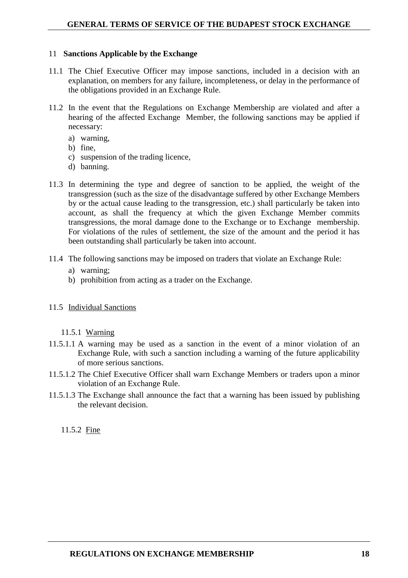### 11 **Sanctions Applicable by the Exchange**

- 11.1 The Chief Executive Officer may impose sanctions, included in a decision with an explanation, on members for any failure, incompleteness, or delay in the performance of the obligations provided in an Exchange Rule.
- 11.2 In the event that the Regulations on Exchange Membership are violated and after a hearing of the affected Exchange Member, the following sanctions may be applied if necessary:
	- a) warning,
	- b) fine,
	- c) suspension of the trading licence,
	- d) banning.
- 11.3 In determining the type and degree of sanction to be applied, the weight of the transgression (such as the size of the disadvantage suffered by other Exchange Members by or the actual cause leading to the transgression, etc.) shall particularly be taken into account, as shall the frequency at which the given Exchange Member commits transgressions, the moral damage done to the Exchange or to Exchange membership. For violations of the rules of settlement, the size of the amount and the period it has been outstanding shall particularly be taken into account.
- 11.4 The following sanctions may be imposed on traders that violate an Exchange Rule:
	- a) warning;
	- b) prohibition from acting as a trader on the Exchange.
- 11.5 Individual Sanctions

11.5.1 Warning

- 11.5.1.1 A warning may be used as a sanction in the event of a minor violation of an Exchange Rule, with such a sanction including a warning of the future applicability of more serious sanctions.
- 11.5.1.2 The Chief Executive Officer shall warn Exchange Members or traders upon a minor violation of an Exchange Rule.
- 11.5.1.3 The Exchange shall announce the fact that a warning has been issued by publishing the relevant decision.

11.5.2 Fine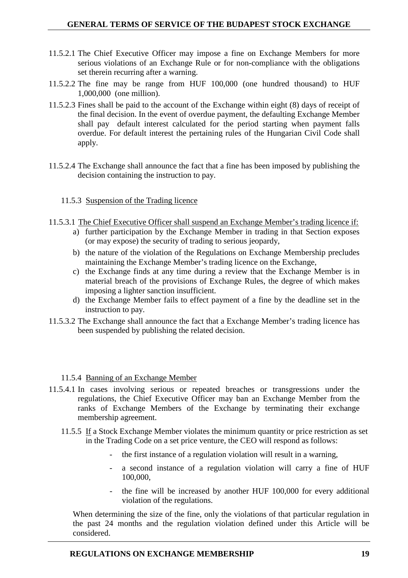- 11.5.2.1 The Chief Executive Officer may impose a fine on Exchange Members for more serious violations of an Exchange Rule or for non-compliance with the obligations set therein recurring after a warning.
- 11.5.2.2 The fine may be range from HUF 100,000 (one hundred thousand) to HUF 1,000,000 (one million).
- 11.5.2.3 Fines shall be paid to the account of the Exchange within eight (8) days of receipt of the final decision. In the event of overdue payment, the defaulting Exchange Member shall pay default interest calculated for the period starting when payment falls overdue. For default interest the pertaining rules of the Hungarian Civil Code shall apply.
- 11.5.2.4 The Exchange shall announce the fact that a fine has been imposed by publishing the decision containing the instruction to pay.
	- 11.5.3 Suspension of the Trading licence
- 11.5.3.1 The Chief Executive Officer shall suspend an Exchange Member's trading licence if:
	- a) further participation by the Exchange Member in trading in that Section exposes (or may expose) the security of trading to serious jeopardy,
	- b) the nature of the violation of the Regulations on Exchange Membership precludes maintaining the Exchange Member's trading licence on the Exchange,
	- c) the Exchange finds at any time during a review that the Exchange Member is in material breach of the provisions of Exchange Rules, the degree of which makes imposing a lighter sanction insufficient.
	- d) the Exchange Member fails to effect payment of a fine by the deadline set in the instruction to pay.
- 11.5.3.2 The Exchange shall announce the fact that a Exchange Member's trading licence has been suspended by publishing the related decision.
	- 11.5.4 Banning of an Exchange Member
- 11.5.4.1 In cases involving serious or repeated breaches or transgressions under the regulations, the Chief Executive Officer may ban an Exchange Member from the ranks of Exchange Members of the Exchange by terminating their exchange membership agreement.
	- 11.5.5 If a Stock Exchange Member violates the minimum quantity or price restriction as set in the Trading Code on a set price venture, the CEO will respond as follows:
		- the first instance of a regulation violation will result in a warning,
		- a second instance of a regulation violation will carry a fine of HUF 100,000,
		- the fine will be increased by another HUF 100,000 for every additional violation of the regulations.

When determining the size of the fine, only the violations of that particular regulation in the past 24 months and the regulation violation defined under this Article will be considered.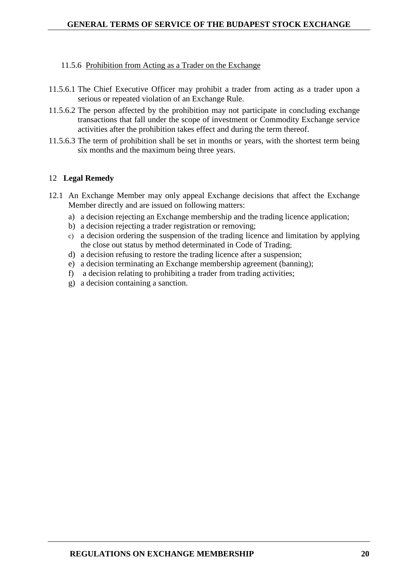## 11.5.6 Prohibition from Acting as a Trader on the Exchange

- 11.5.6.1 The Chief Executive Officer may prohibit a trader from acting as a trader upon a serious or repeated violation of an Exchange Rule.
- 11.5.6.2 The person affected by the prohibition may not participate in concluding exchange transactions that fall under the scope of investment or Commodity Exchange service activities after the prohibition takes effect and during the term thereof.
- 11.5.6.3 The term of prohibition shall be set in months or years, with the shortest term being six months and the maximum being three years.

## 12 **Legal Remedy**

- 12.1 An Exchange Member may only appeal Exchange decisions that affect the Exchange Member directly and are issued on following matters:
	- a) a decision rejecting an Exchange membership and the trading licence application;
	- b) a decision rejecting a trader registration or removing;
	- c) a decision ordering the suspension of the trading licence and limitation by applying the close out status by method determinated in Code of Trading;
	- d) a decision refusing to restore the trading licence after a suspension;
	- e) a decision terminating an Exchange membership agreement (banning);
	- f) a decision relating to prohibiting a trader from trading activities;
	- g) a decision containing a sanction.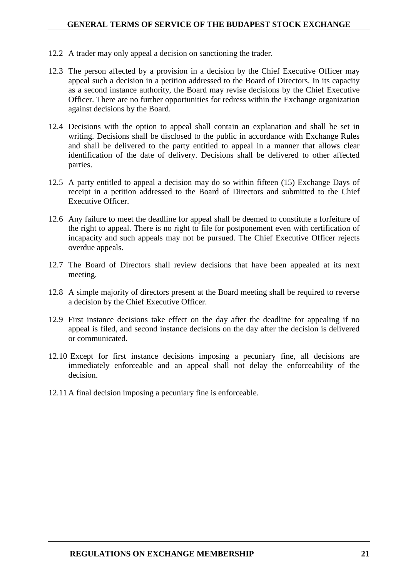- 12.2 A trader may only appeal a decision on sanctioning the trader.
- 12.3 The person affected by a provision in a decision by the Chief Executive Officer may appeal such a decision in a petition addressed to the Board of Directors. In its capacity as a second instance authority, the Board may revise decisions by the Chief Executive Officer. There are no further opportunities for redress within the Exchange organization against decisions by the Board.
- 12.4 Decisions with the option to appeal shall contain an explanation and shall be set in writing. Decisions shall be disclosed to the public in accordance with Exchange Rules and shall be delivered to the party entitled to appeal in a manner that allows clear identification of the date of delivery. Decisions shall be delivered to other affected parties.
- 12.5 A party entitled to appeal a decision may do so within fifteen (15) Exchange Days of receipt in a petition addressed to the Board of Directors and submitted to the Chief Executive Officer.
- 12.6 Any failure to meet the deadline for appeal shall be deemed to constitute a forfeiture of the right to appeal. There is no right to file for postponement even with certification of incapacity and such appeals may not be pursued. The Chief Executive Officer rejects overdue appeals.
- 12.7 The Board of Directors shall review decisions that have been appealed at its next meeting.
- 12.8 A simple majority of directors present at the Board meeting shall be required to reverse a decision by the Chief Executive Officer.
- 12.9 First instance decisions take effect on the day after the deadline for appealing if no appeal is filed, and second instance decisions on the day after the decision is delivered or communicated.
- 12.10 Except for first instance decisions imposing a pecuniary fine, all decisions are immediately enforceable and an appeal shall not delay the enforceability of the decision.
- 12.11 A final decision imposing a pecuniary fine is enforceable.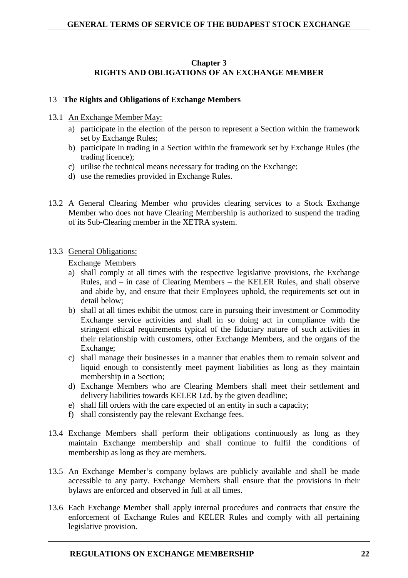## **Chapter 3 RIGHTS AND OBLIGATIONS OF AN EXCHANGE MEMBER**

## 13 **The Rights and Obligations of Exchange Members**

- 13.1 An Exchange Member May:
	- a) participate in the election of the person to represent a Section within the framework set by Exchange Rules;
	- b) participate in trading in a Section within the framework set by Exchange Rules (the trading licence);
	- c) utilise the technical means necessary for trading on the Exchange;
	- d) use the remedies provided in Exchange Rules.
- 13.2 A General Clearing Member who provides clearing services to a Stock Exchange Member who does not have Clearing Membership is authorized to suspend the trading of its Sub-Clearing member in the XETRA system.

### 13.3 General Obligations:

Exchange Members

- a) shall comply at all times with the respective legislative provisions, the Exchange Rules, and – in case of Clearing Members – the KELER Rules, and shall observe and abide by, and ensure that their Employees uphold, the requirements set out in detail below;
- b) shall at all times exhibit the utmost care in pursuing their investment or Commodity Exchange service activities and shall in so doing act in compliance with the stringent ethical requirements typical of the fiduciary nature of such activities in their relationship with customers, other Exchange Members, and the organs of the Exchange;
- c) shall manage their businesses in a manner that enables them to remain solvent and liquid enough to consistently meet payment liabilities as long as they maintain membership in a Section;
- d) Exchange Members who are Clearing Members shall meet their settlement and delivery liabilities towards KELER Ltd. by the given deadline;
- e) shall fill orders with the care expected of an entity in such a capacity;
- f) shall consistently pay the relevant Exchange fees.
- 13.4 Exchange Members shall perform their obligations continuously as long as they maintain Exchange membership and shall continue to fulfil the conditions of membership as long as they are members.
- 13.5 An Exchange Member's company bylaws are publicly available and shall be made accessible to any party. Exchange Members shall ensure that the provisions in their bylaws are enforced and observed in full at all times.
- 13.6 Each Exchange Member shall apply internal procedures and contracts that ensure the enforcement of Exchange Rules and KELER Rules and comply with all pertaining legislative provision.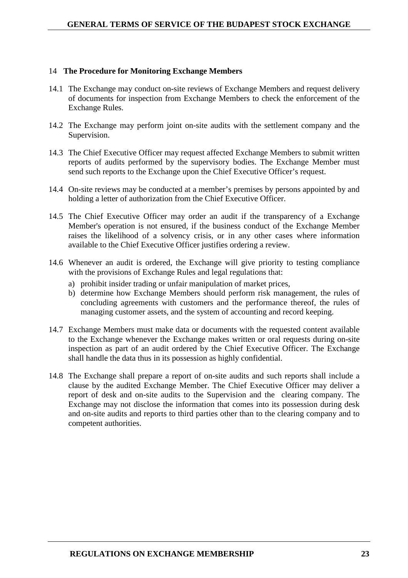#### 14 **The Procedure for Monitoring Exchange Members**

- 14.1 The Exchange may conduct on-site reviews of Exchange Members and request delivery of documents for inspection from Exchange Members to check the enforcement of the Exchange Rules.
- 14.2 The Exchange may perform joint on-site audits with the settlement company and the Supervision.
- 14.3 The Chief Executive Officer may request affected Exchange Members to submit written reports of audits performed by the supervisory bodies. The Exchange Member must send such reports to the Exchange upon the Chief Executive Officer's request.
- 14.4 On-site reviews may be conducted at a member's premises by persons appointed by and holding a letter of authorization from the Chief Executive Officer.
- 14.5 The Chief Executive Officer may order an audit if the transparency of a Exchange Member's operation is not ensured, if the business conduct of the Exchange Member raises the likelihood of a solvency crisis, or in any other cases where information available to the Chief Executive Officer justifies ordering a review.
- 14.6 Whenever an audit is ordered, the Exchange will give priority to testing compliance with the provisions of Exchange Rules and legal regulations that:
	- a) prohibit insider trading or unfair manipulation of market prices,
	- b) determine how Exchange Members should perform risk management, the rules of concluding agreements with customers and the performance thereof, the rules of managing customer assets, and the system of accounting and record keeping.
- 14.7 Exchange Members must make data or documents with the requested content available to the Exchange whenever the Exchange makes written or oral requests during on-site inspection as part of an audit ordered by the Chief Executive Officer. The Exchange shall handle the data thus in its possession as highly confidential.
- 14.8 The Exchange shall prepare a report of on-site audits and such reports shall include a clause by the audited Exchange Member. The Chief Executive Officer may deliver a report of desk and on-site audits to the Supervision and the clearing company. The Exchange may not disclose the information that comes into its possession during desk and on-site audits and reports to third parties other than to the clearing company and to competent authorities.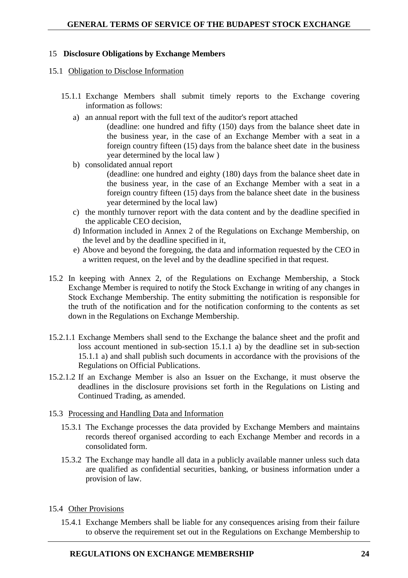## 15 **Disclosure Obligations by Exchange Members**

#### 15.1 Obligation to Disclose Information

- 15.1.1 Exchange Members shall submit timely reports to the Exchange covering information as follows:
	- a) an annual report with the full text of the auditor's report attached

 (deadline: one hundred and fifty (150) days from the balance sheet date in the business year, in the case of an Exchange Member with a seat in a foreign country fifteen (15) days from the balance sheet date in the business year determined by the local law )

- b) consolidated annual report (deadline: one hundred and eighty (180) days from the balance sheet date in the business year, in the case of an Exchange Member with a seat in a foreign country fifteen (15) days from the balance sheet date in the business year determined by the local law)
- c) the monthly turnover report with the data content and by the deadline specified in the applicable CEO decision,
- d) Information included in Annex 2 of the Regulations on Exchange Membership, on the level and by the deadline specified in it,
- e) Above and beyond the foregoing, the data and information requested by the CEO in a written request, on the level and by the deadline specified in that request.
- 15.2 In keeping with Annex 2, of the Regulations on Exchange Membership, a Stock Exchange Member is required to notify the Stock Exchange in writing of any changes in Stock Exchange Membership. The entity submitting the notification is responsible for the truth of the notification and for the notification conforming to the contents as set down in the Regulations on Exchange Membership.
- 15.2.1.1 Exchange Members shall send to the Exchange the balance sheet and the profit and loss account mentioned in sub-section 15.1.1 a) by the deadline set in sub-section 15.1.1 a) and shall publish such documents in accordance with the provisions of the Regulations on Official Publications.
- 15.2.1.2 If an Exchange Member is also an Issuer on the Exchange, it must observe the deadlines in the disclosure provisions set forth in the Regulations on Listing and Continued Trading, as amended.
- 15.3 Processing and Handling Data and Information
	- 15.3.1 The Exchange processes the data provided by Exchange Members and maintains records thereof organised according to each Exchange Member and records in a consolidated form.
	- 15.3.2 The Exchange may handle all data in a publicly available manner unless such data are qualified as confidential securities, banking, or business information under a provision of law.
- 15.4 Other Provisions
	- 15.4.1 Exchange Members shall be liable for any consequences arising from their failure to observe the requirement set out in the Regulations on Exchange Membership to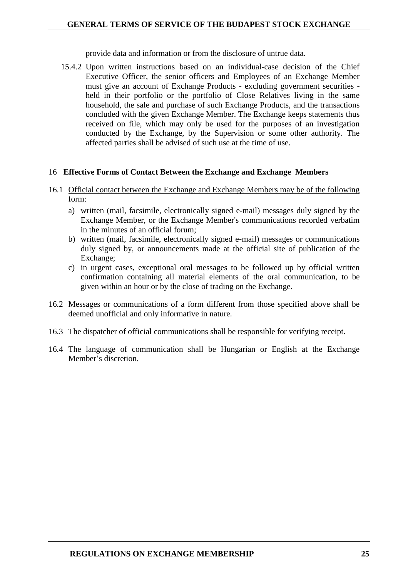provide data and information or from the disclosure of untrue data.

15.4.2 Upon written instructions based on an individual-case decision of the Chief Executive Officer, the senior officers and Employees of an Exchange Member must give an account of Exchange Products - excluding government securities held in their portfolio or the portfolio of Close Relatives living in the same household, the sale and purchase of such Exchange Products, and the transactions concluded with the given Exchange Member. The Exchange keeps statements thus received on file, which may only be used for the purposes of an investigation conducted by the Exchange, by the Supervision or some other authority. The affected parties shall be advised of such use at the time of use.

#### 16 **Effective Forms of Contact Between the Exchange and Exchange Members**

- 16.1 Official contact between the Exchange and Exchange Members may be of the following form:
	- a) written (mail, facsimile, electronically signed e-mail) messages duly signed by the Exchange Member, or the Exchange Member's communications recorded verbatim in the minutes of an official forum;
	- b) written (mail, facsimile, electronically signed e-mail) messages or communications duly signed by, or announcements made at the official site of publication of the Exchange;
	- c) in urgent cases, exceptional oral messages to be followed up by official written confirmation containing all material elements of the oral communication, to be given within an hour or by the close of trading on the Exchange.
- 16.2 Messages or communications of a form different from those specified above shall be deemed unofficial and only informative in nature.
- 16.3 The dispatcher of official communications shall be responsible for verifying receipt.
- 16.4 The language of communication shall be Hungarian or English at the Exchange Member's discretion.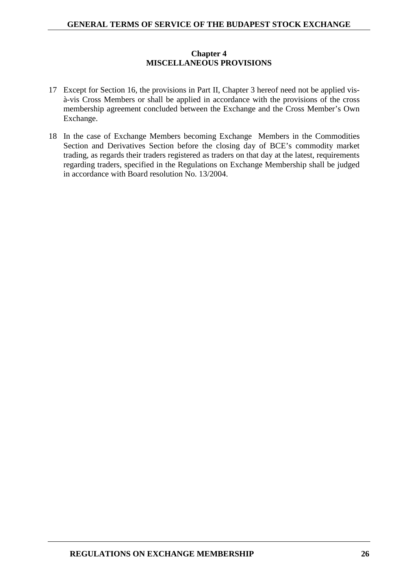## **Chapter 4 MISCELLANEOUS PROVISIONS**

- 17 Except for Section 16, the provisions in Part II, Chapter 3 hereof need not be applied visà-vis Cross Members or shall be applied in accordance with the provisions of the cross membership agreement concluded between the Exchange and the Cross Member's Own Exchange.
- 18 In the case of Exchange Members becoming Exchange Members in the Commodities Section and Derivatives Section before the closing day of BCE's commodity market trading, as regards their traders registered as traders on that day at the latest, requirements regarding traders, specified in the Regulations on Exchange Membership shall be judged in accordance with Board resolution No. 13/2004.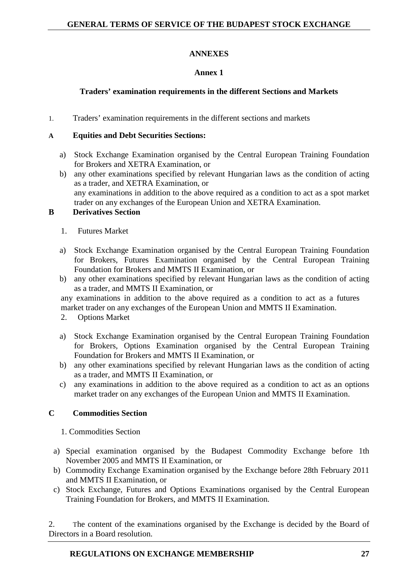# **ANNEXES**

# **Annex 1**

# **Traders' examination requirements in the different Sections and Markets**

1. Traders' examination requirements in the different sections and markets

## **A Equities and Debt Securities Sections:**

- a) Stock Exchange Examination organised by the Central European Training Foundation for Brokers and XETRA Examination, or
- b) any other examinations specified by relevant Hungarian laws as the condition of acting as a trader, and XETRA Examination, or any examinations in addition to the above required as a condition to act as a spot market trader on any exchanges of the European Union and XETRA Examination.

### **B Derivatives Section**

- 1. Futures Market
- a) Stock Exchange Examination organised by the Central European Training Foundation for Brokers, Futures Examination organised by the Central European Training Foundation for Brokers and MMTS II Examination, or
- b) any other examinations specified by relevant Hungarian laws as the condition of acting as a trader, and MMTS II Examination, or

any examinations in addition to the above required as a condition to act as a futures market trader on any exchanges of the European Union and MMTS II Examination.

- 2. Options Market
- a) Stock Exchange Examination organised by the Central European Training Foundation for Brokers, Options Examination organised by the Central European Training Foundation for Brokers and MMTS II Examination, or
- b) any other examinations specified by relevant Hungarian laws as the condition of acting as a trader, and MMTS II Examination, or
- c) any examinations in addition to the above required as a condition to act as an options market trader on any exchanges of the European Union and MMTS II Examination.

## **C Commodities Section**

- 1. Commodities Section
- a) Special examination organised by the Budapest Commodity Exchange before 1th November 2005 and MMTS II Examination, or
- b) Commodity Exchange Examination organised by the Exchange before 28th February 2011 and MMTS II Examination, or
- c) Stock Exchange, Futures and Options Examinations organised by the Central European Training Foundation for Brokers, and MMTS II Examination.

2. The content of the examinations organised by the Exchange is decided by the Board of Directors in a Board resolution.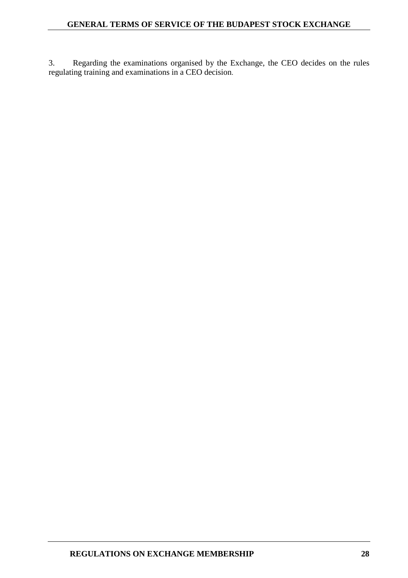3. Regarding the examinations organised by the Exchange, the CEO decides on the rules regulating training and examinations in a CEO decision.